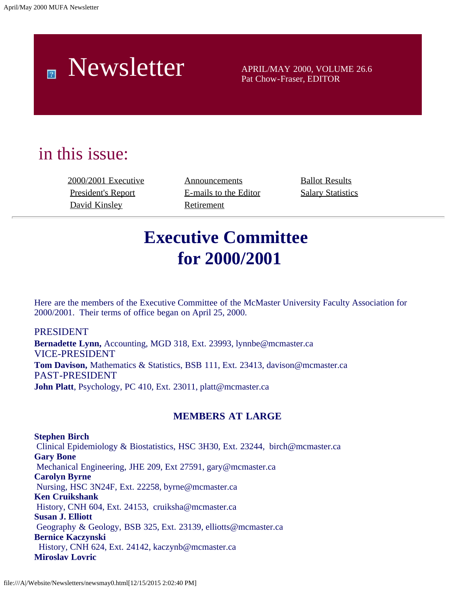# Newsletter APRIL/MAY 2000, VOLUME 26.6

Pat Chow-Fraser, EDITOR

## in this issue:

[2000/2001 Executive](#page-0-0) [Announcements](#page-5-0) [Ballot Results](#page-9-0) [David Kinsley](#page-4-0) [Retirement](#page-7-0)

[President's Report](#page-1-0) [E-mails to the Editor](#page-6-0) [Salary Statistics](file:///A|/Website/Newsletters/slry99-0.htm)

## **Executive Committee for 2000/2001**

<span id="page-0-0"></span>Here are the members of the Executive Committee of the McMaster University Faculty Association for 2000/2001. Their terms of office began on April 25, 2000.

## PRESIDENT

**Bernadette Lynn,** Accounting, MGD 318, Ext. 23993, lynnbe@mcmaster.ca VICE-PRESIDENT **Tom Davison,** Mathematics & Statistics, BSB 111, Ext. 23413, davison@mcmaster.ca PAST-PRESIDENT **John Platt**, Psychology, PC 410, Ext. 23011, platt@mcmaster.ca

### **MEMBERS AT LARGE**

**Stephen Birch** Clinical Epidemiology & Biostatistics, HSC 3H30, Ext. 23244, birch@mcmaster.ca **Gary Bone** Mechanical Engineering, JHE 209, Ext 27591, gary@mcmaster.ca **Carolyn Byrne** Nursing, HSC 3N24F, Ext. 22258, byrne@mcmaster.ca **Ken Cruikshank** History, CNH 604, Ext. 24153, cruiksha@mcmaster.ca **Susan J. Elliott** Geography & Geology, BSB 325, Ext. 23139, elliotts@mcmaster.ca **Bernice Kaczynski** History, CNH 624, Ext. 24142, kaczynb@mcmaster.ca **Miroslav Lovric**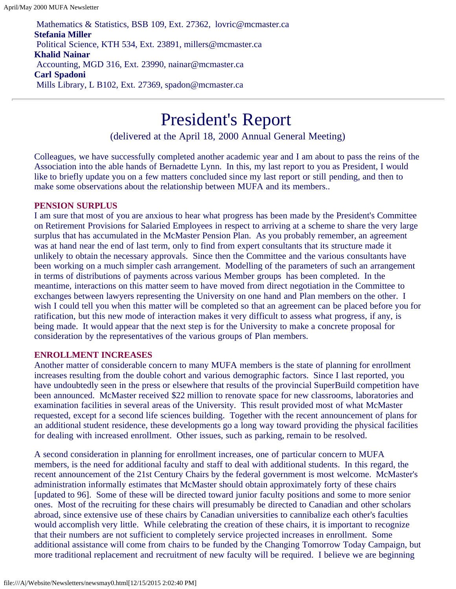Mathematics & Statistics, BSB 109, Ext. 27362, lovric@mcmaster.ca **Stefania Miller** Political Science, KTH 534, Ext. 23891, millers@mcmaster.ca **Khalid Nainar** Accounting, MGD 316, Ext. 23990, nainar@mcmaster.ca **Carl Spadoni** Mills Library, L B102, Ext. 27369, spadon@mcmaster.ca

## President's Report

(delivered at the April 18, 2000 Annual General Meeting)

<span id="page-1-0"></span>Colleagues, we have successfully completed another academic year and I am about to pass the reins of the Association into the able hands of Bernadette Lynn. In this, my last report to you as President, I would like to briefly update you on a few matters concluded since my last report or still pending, and then to make some observations about the relationship between MUFA and its members..

### **PENSION SURPLUS**

I am sure that most of you are anxious to hear what progress has been made by the President's Committee on Retirement Provisions for Salaried Employees in respect to arriving at a scheme to share the very large surplus that has accumulated in the McMaster Pension Plan. As you probably remember, an agreement was at hand near the end of last term, only to find from expert consultants that its structure made it unlikely to obtain the necessary approvals. Since then the Committee and the various consultants have been working on a much simpler cash arrangement. Modelling of the parameters of such an arrangement in terms of distributions of payments across various Member groups has been completed. In the meantime, interactions on this matter seem to have moved from direct negotiation in the Committee to exchanges between lawyers representing the University on one hand and Plan members on the other. I wish I could tell you when this matter will be completed so that an agreement can be placed before you for ratification, but this new mode of interaction makes it very difficult to assess what progress, if any, is being made. It would appear that the next step is for the University to make a concrete proposal for consideration by the representatives of the various groups of Plan members.

### **ENROLLMENT INCREASES**

Another matter of considerable concern to many MUFA members is the state of planning for enrollment increases resulting from the double cohort and various demographic factors. Since I last reported, you have undoubtedly seen in the press or elsewhere that results of the provincial SuperBuild competition have been announced. McMaster received \$22 million to renovate space for new classrooms, laboratories and examination facilities in several areas of the University. This result provided most of what McMaster requested, except for a second life sciences building. Together with the recent announcement of plans for an additional student residence, these developments go a long way toward providing the physical facilities for dealing with increased enrollment. Other issues, such as parking, remain to be resolved.

A second consideration in planning for enrollment increases, one of particular concern to MUFA members, is the need for additional faculty and staff to deal with additional students. In this regard, the recent announcement of the 21st Century Chairs by the federal government is most welcome. McMaster's administration informally estimates that McMaster should obtain approximately forty of these chairs [updated to 96]. Some of these will be directed toward junior faculty positions and some to more senior ones. Most of the recruiting for these chairs will presumably be directed to Canadian and other scholars abroad, since extensive use of these chairs by Canadian universities to cannibalize each other's faculties would accomplish very little. While celebrating the creation of these chairs, it is important to recognize that their numbers are not sufficient to completely service projected increases in enrollment. Some additional assistance will come from chairs to be funded by the Changing Tomorrow Today Campaign, but more traditional replacement and recruitment of new faculty will be required. I believe we are beginning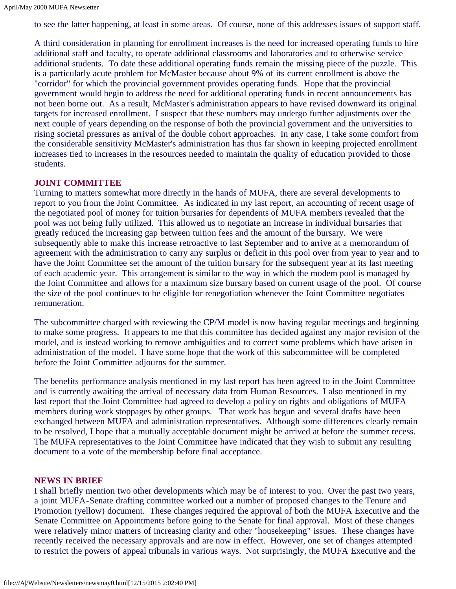to see the latter happening, at least in some areas. Of course, none of this addresses issues of support staff.

A third consideration in planning for enrollment increases is the need for increased operating funds to hire additional staff and faculty, to operate additional classrooms and laboratories and to otherwise service additional students. To date these additional operating funds remain the missing piece of the puzzle. This is a particularly acute problem for McMaster because about 9% of its current enrollment is above the "corridor" for which the provincial government provides operating funds. Hope that the provincial government would begin to address the need for additional operating funds in recent announcements has not been borne out. As a result, McMaster's administration appears to have revised downward its original targets for increased enrollment. I suspect that these numbers may undergo further adjustments over the next couple of years depending on the response of both the provincial government and the universities to rising societal pressures as arrival of the double cohort approaches. In any case, I take some comfort from the considerable sensitivity McMaster's administration has thus far shown in keeping projected enrollment increases tied to increases in the resources needed to maintain the quality of education provided to those students.

### **JOINT COMMITTEE**

Turning to matters somewhat more directly in the hands of MUFA, there are several developments to report to you from the Joint Committee. As indicated in my last report, an accounting of recent usage of the negotiated pool of money for tuition bursaries for dependents of MUFA members revealed that the pool was not being fully utilized. This allowed us to negotiate an increase in individual bursaries that greatly reduced the increasing gap between tuition fees and the amount of the bursary. We were subsequently able to make this increase retroactive to last September and to arrive at a memorandum of agreement with the administration to carry any surplus or deficit in this pool over from year to year and to have the Joint Committee set the amount of the tuition bursary for the subsequent year at its last meeting of each academic year. This arrangement is similar to the way in which the modem pool is managed by the Joint Committee and allows for a maximum size bursary based on current usage of the pool. Of course the size of the pool continues to be eligible for renegotiation whenever the Joint Committee negotiates remuneration.

The subcommittee charged with reviewing the CP/M model is now having regular meetings and beginning to make some progress. It appears to me that this committee has decided against any major revision of the model, and is instead working to remove ambiguities and to correct some problems which have arisen in administration of the model. I have some hope that the work of this subcommittee will be completed before the Joint Committee adjourns for the summer.

The benefits performance analysis mentioned in my last report has been agreed to in the Joint Committee and is currently awaiting the arrival of necessary data from Human Resources. I also mentioned in my last report that the Joint Committee had agreed to develop a policy on rights and obligations of MUFA members during work stoppages by other groups. That work has begun and several drafts have been exchanged between MUFA and administration representatives. Although some differences clearly remain to be resolved, I hope that a mutually acceptable document might be arrived at before the summer recess. The MUFA representatives to the Joint Committee have indicated that they wish to submit any resulting document to a vote of the membership before final acceptance.

### **NEWS IN BRIEF**

I shall briefly mention two other developments which may be of interest to you. Over the past two years, a joint MUFA-Senate drafting committee worked out a number of proposed changes to the Tenure and Promotion (yellow) document. These changes required the approval of both the MUFA Executive and the Senate Committee on Appointments before going to the Senate for final approval. Most of these changes were relatively minor matters of increasing clarity and other "housekeeping" issues. These changes have recently received the necessary approvals and are now in effect. However, one set of changes attempted to restrict the powers of appeal tribunals in various ways. Not surprisingly, the MUFA Executive and the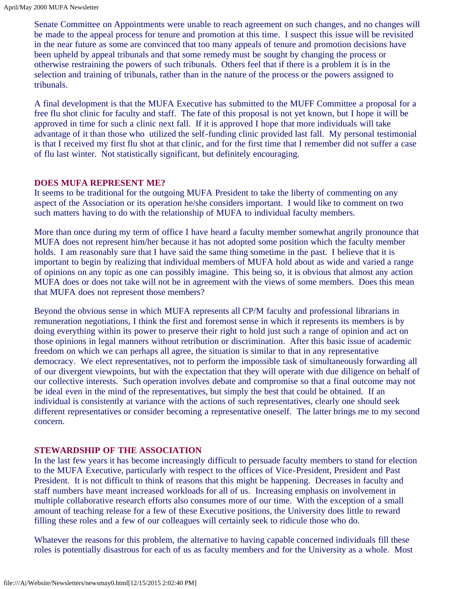Senate Committee on Appointments were unable to reach agreement on such changes, and no changes will be made to the appeal process for tenure and promotion at this time. I suspect this issue will be revisited in the near future as some are convinced that too many appeals of tenure and promotion decisions have been upheld by appeal tribunals and that some remedy must be sought by changing the process or otherwise restraining the powers of such tribunals. Others feel that if there is a problem it is in the selection and training of tribunals, rather than in the nature of the process or the powers assigned to tribunals.

A final development is that the MUFA Executive has submitted to the MUFF Committee a proposal for a free flu shot clinic for faculty and staff. The fate of this proposal is not yet known, but I hope it will be approved in time for such a clinic next fall. If it is approved I hope that more individuals will take advantage of it than those who utilized the self-funding clinic provided last fall. My personal testimonial is that I received my first flu shot at that clinic, and for the first time that I remember did not suffer a case of flu last winter. Not statistically significant, but definitely encouraging.

### **DOES MUFA REPRESENT ME?**

It seems to be traditional for the outgoing MUFA President to take the liberty of commenting on any aspect of the Association or its operation he/she considers important. I would like to comment on two such matters having to do with the relationship of MUFA to individual faculty members.

More than once during my term of office I have heard a faculty member somewhat angrily pronounce that MUFA does not represent him/her because it has not adopted some position which the faculty member holds. I am reasonably sure that I have said the same thing sometime in the past. I believe that it is important to begin by realizing that individual members of MUFA hold about as wide and varied a range of opinions on any topic as one can possibly imagine. This being so, it is obvious that almost any action MUFA does or does not take will not be in agreement with the views of some members. Does this mean that MUFA does not represent those members?

Beyond the obvious sense in which MUFA represents all CP/M faculty and professional librarians in remuneration negotiations, I think the first and foremost sense in which it represents its members is by doing everything within its power to preserve their right to hold just such a range of opinion and act on those opinions in legal manners without retribution or discrimination. After this basic issue of academic freedom on which we can perhaps all agree, the situation is similar to that in any representative democracy. We elect representatives, not to perform the impossible task of simultaneously forwarding all of our divergent viewpoints, but with the expectation that they will operate with due diligence on behalf of our collective interests. Such operation involves debate and compromise so that a final outcome may not be ideal even in the mind of the representatives, but simply the best that could be obtained. If an individual is consistently at variance with the actions of such representatives, clearly one should seek different representatives or consider becoming a representative oneself. The latter brings me to my second concern.

### **STEWARDSHIP OF THE ASSOCIATION**

In the last few years it has become increasingly difficult to persuade faculty members to stand for election to the MUFA Executive, particularly with respect to the offices of Vice-President, President and Past President. It is not difficult to think of reasons that this might be happening. Decreases in faculty and staff numbers have meant increased workloads for all of us. Increasing emphasis on involvement in multiple collaborative research efforts also consumes more of our time. With the exception of a small amount of teaching release for a few of these Executive positions, the University does little to reward filling these roles and a few of our colleagues will certainly seek to ridicule those who do.

Whatever the reasons for this problem, the alternative to having capable concerned individuals fill these roles is potentially disastrous for each of us as faculty members and for the University as a whole. Most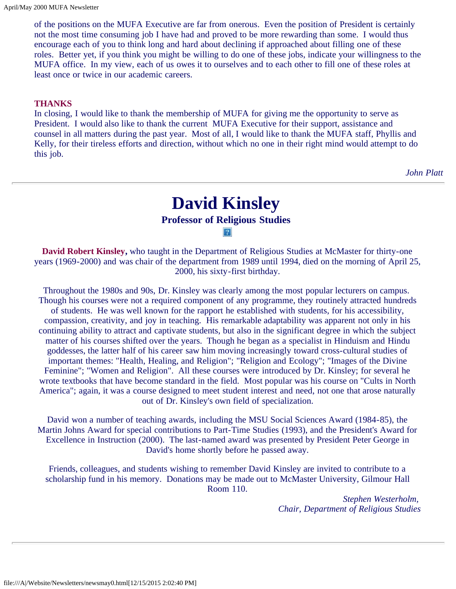of the positions on the MUFA Executive are far from onerous. Even the position of President is certainly not the most time consuming job I have had and proved to be more rewarding than some. I would thus encourage each of you to think long and hard about declining if approached about filling one of these roles. Better yet, if you think you might be willing to do one of these jobs, indicate your willingness to the MUFA office. In my view, each of us owes it to ourselves and to each other to fill one of these roles at least once or twice in our academic careers.

#### **THANKS**

In closing, I would like to thank the membership of MUFA for giving me the opportunity to serve as President. I would also like to thank the current MUFA Executive for their support, assistance and counsel in all matters during the past year. Most of all, I would like to thank the MUFA staff, Phyllis and Kelly, for their tireless efforts and direction, without which no one in their right mind would attempt to do this job.

*John Platt*

## **David Kinsley**

### **Professor of Religious Studies**

 $|2\rangle$ 

<span id="page-4-0"></span>**David Robert Kinsley,** who taught in the Department of Religious Studies at McMaster for thirty-one years (1969-2000) and was chair of the department from 1989 until 1994, died on the morning of April 25, 2000, his sixty-first birthday.

Throughout the 1980s and 90s, Dr. Kinsley was clearly among the most popular lecturers on campus. Though his courses were not a required component of any programme, they routinely attracted hundreds of students. He was well known for the rapport he established with students, for his accessibility, compassion, creativity, and joy in teaching. His remarkable adaptability was apparent not only in his continuing ability to attract and captivate students, but also in the significant degree in which the subject matter of his courses shifted over the years. Though he began as a specialist in Hinduism and Hindu goddesses, the latter half of his career saw him moving increasingly toward cross-cultural studies of important themes: "Health, Healing, and Religion"; "Religion and Ecology"; "Images of the Divine Feminine"; "Women and Religion". All these courses were introduced by Dr. Kinsley; for several he wrote textbooks that have become standard in the field. Most popular was his course on "Cults in North America"; again, it was a course designed to meet student interest and need, not one that arose naturally out of Dr. Kinsley's own field of specialization.

David won a number of teaching awards, including the MSU Social Sciences Award (1984-85), the Martin Johns Award for special contributions to Part-Time Studies (1993), and the President's Award for Excellence in Instruction (2000). The last-named award was presented by President Peter George in David's home shortly before he passed away.

Friends, colleagues, and students wishing to remember David Kinsley are invited to contribute to a scholarship fund in his memory. Donations may be made out to McMaster University, Gilmour Hall Room 110.

> *Stephen Westerholm, Chair, Department of Religious Studies*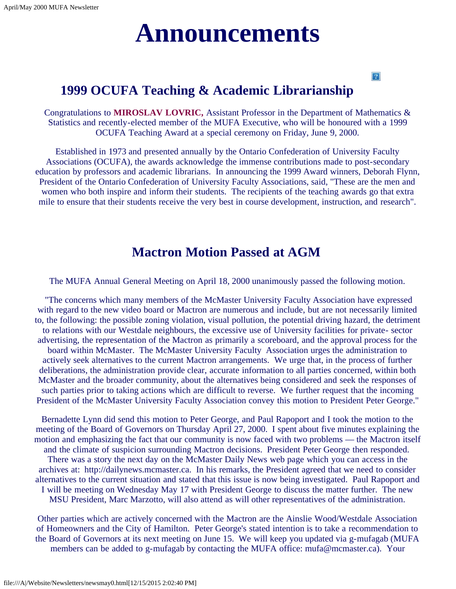# **Announcements**

### $|2|$

### <span id="page-5-0"></span>**1999 OCUFA Teaching & Academic Librarianship**

Congratulations to **MIROSLAV LOVRIC,** Assistant Professor in the Department of Mathematics & Statistics and recently-elected member of the MUFA Executive, who will be honoured with a 1999 OCUFA Teaching Award at a special ceremony on Friday, June 9, 2000.

Established in 1973 and presented annually by the Ontario Confederation of University Faculty Associations (OCUFA), the awards acknowledge the immense contributions made to post-secondary education by professors and academic librarians. In announcing the 1999 Award winners, Deborah Flynn, President of the Ontario Confederation of University Faculty Associations, said, "These are the men and women who both inspire and inform their students. The recipients of the teaching awards go that extra mile to ensure that their students receive the very best in course development, instruction, and research".

### **Mactron Motion Passed at AGM**

The MUFA Annual General Meeting on April 18, 2000 unanimously passed the following motion.

"The concerns which many members of the McMaster University Faculty Association have expressed with regard to the new video board or Mactron are numerous and include, but are not necessarily limited to, the following: the possible zoning violation, visual pollution, the potential driving hazard, the detriment to relations with our Westdale neighbours, the excessive use of University facilities for private- sector advertising, the representation of the Mactron as primarily a scoreboard, and the approval process for the board within McMaster. The McMaster University Faculty Association urges the administration to actively seek alternatives to the current Mactron arrangements. We urge that, in the process of further deliberations, the administration provide clear, accurate information to all parties concerned, within both McMaster and the broader community, about the alternatives being considered and seek the responses of such parties prior to taking actions which are difficult to reverse. We further request that the incoming President of the McMaster University Faculty Association convey this motion to President Peter George."

Bernadette Lynn did send this motion to Peter George, and Paul Rapoport and I took the motion to the meeting of the Board of Governors on Thursday April 27, 2000. I spent about five minutes explaining the motion and emphasizing the fact that our community is now faced with two problems — the Mactron itself and the climate of suspicion surrounding Mactron decisions. President Peter George then responded. There was a story the next day on the McMaster Daily News web page which you can access in the archives at: http://dailynews.mcmaster.ca. In his remarks, the President agreed that we need to consider alternatives to the current situation and stated that this issue is now being investigated. Paul Rapoport and I will be meeting on Wednesday May 17 with President George to discuss the matter further. The new MSU President, Marc Marzotto, will also attend as will other representatives of the administration.

Other parties which are actively concerned with the Mactron are the Ainslie Wood/Westdale Association of Homeowners and the City of Hamilton. Peter George's stated intention is to take a recommendation to the Board of Governors at its next meeting on June 15. We will keep you updated via g-mufagab (MUFA members can be added to g-mufagab by contacting the MUFA office: mufa@mcmaster.ca). Your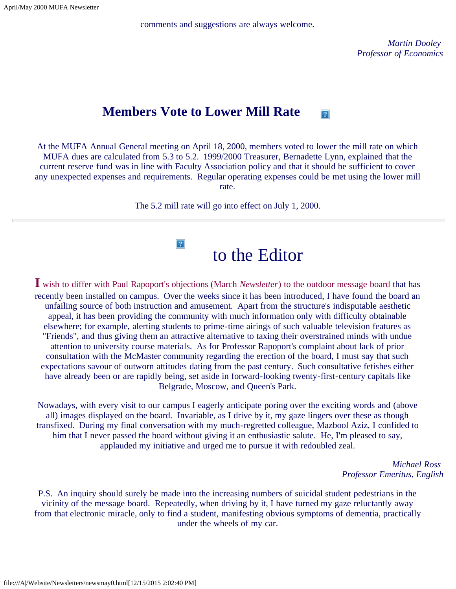April/May 2000 MUFA Newsletter

comments and suggestions are always welcome.

*Martin Dooley Professor of Economics*

#### **Members Vote to Lower Mill Rate**  $|2|$

At the MUFA Annual General meeting on April 18, 2000, members voted to lower the mill rate on which MUFA dues are calculated from 5.3 to 5.2. 1999/2000 Treasurer, Bernadette Lynn, explained that the current reserve fund was in line with Faculty Association policy and that it should be sufficient to cover any unexpected expenses and requirements. Regular operating expenses could be met using the lower mill rate.

The 5.2 mill rate will go into effect on July 1, 2000.

 $|2\rangle$ 

## to the Editor

<span id="page-6-0"></span>**I** wish to differ with Paul Rapoport's objections (March *Newsletter*) to the outdoor message board that has recently been installed on campus. Over the weeks since it has been introduced, I have found the board an unfailing source of both instruction and amusement. Apart from the structure's indisputable aesthetic appeal, it has been providing the community with much information only with difficulty obtainable elsewhere; for example, alerting students to prime-time airings of such valuable television features as "Friends", and thus giving them an attractive alternative to taxing their overstrained minds with undue attention to university course materials. As for Professor Rapoport's complaint about lack of prior consultation with the McMaster community regarding the erection of the board, I must say that such expectations savour of outworn attitudes dating from the past century. Such consultative fetishes either have already been or are rapidly being, set aside in forward-looking twenty-first-century capitals like Belgrade, Moscow, and Queen's Park.

Nowadays, with every visit to our campus I eagerly anticipate poring over the exciting words and (above all) images displayed on the board. Invariable, as I drive by it, my gaze lingers over these as though transfixed. During my final conversation with my much-regretted colleague, Mazbool Aziz, I confided to him that I never passed the board without giving it an enthusiastic salute. He, I'm pleased to say, applauded my initiative and urged me to pursue it with redoubled zeal.

> *Michael Ross Professor Emeritus, English*

P.S. An inquiry should surely be made into the increasing numbers of suicidal student pedestrians in the vicinity of the message board. Repeatedly, when driving by it, I have turned my gaze reluctantly away from that electronic miracle, only to find a student, manifesting obvious symptoms of dementia, practically under the wheels of my car.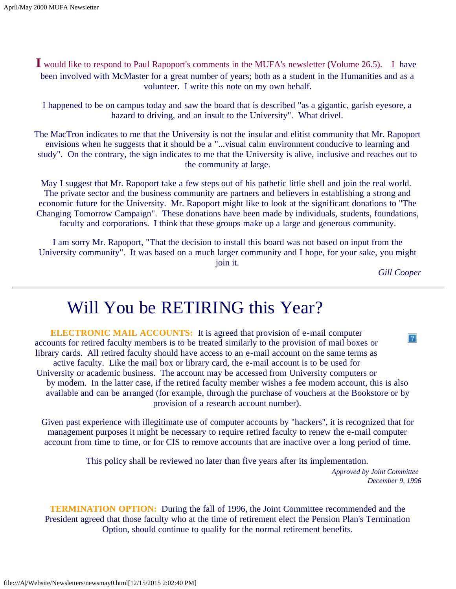**I** would like to respond to Paul Rapoport's comments in the MUFA's newsletter (Volume 26.5). I have been involved with McMaster for a great number of years; both as a student in the Humanities and as a volunteer. I write this note on my own behalf.

I happened to be on campus today and saw the board that is described "as a gigantic, garish eyesore, a hazard to driving, and an insult to the University". What drivel.

The MacTron indicates to me that the University is not the insular and elitist community that Mr. Rapoport envisions when he suggests that it should be a "...visual calm environment conducive to learning and study". On the contrary, the sign indicates to me that the University is alive, inclusive and reaches out to the community at large.

May I suggest that Mr. Rapoport take a few steps out of his pathetic little shell and join the real world. The private sector and the business community are partners and believers in establishing a strong and economic future for the University. Mr. Rapoport might like to look at the significant donations to "The Changing Tomorrow Campaign". These donations have been made by individuals, students, foundations, faculty and corporations. I think that these groups make up a large and generous community.

I am sorry Mr. Rapoport, "That the decision to install this board was not based on input from the University community". It was based on a much larger community and I hope, for your sake, you might join it.

*Gill Cooper*

## Will You be RETIRING this Year?

<span id="page-7-0"></span>**ELECTRONIC MAIL ACCOUNTS:** It is agreed that provision of e-mail computer  $|2\rangle$ accounts for retired faculty members is to be treated similarly to the provision of mail boxes or library cards. All retired faculty should have access to an e-mail account on the same terms as active faculty. Like the mail box or library card, the e-mail account is to be used for University or academic business. The account may be accessed from University computers or by modem. In the latter case, if the retired faculty member wishes a fee modem account, this is also available and can be arranged (for example, through the purchase of vouchers at the Bookstore or by provision of a research account number).

Given past experience with illegitimate use of computer accounts by "hackers", it is recognized that for management purposes it might be necessary to require retired faculty to renew the e-mail computer account from time to time, or for CIS to remove accounts that are inactive over a long period of time.

This policy shall be reviewed no later than five years after its implementation.

*Approved by Joint Committee December 9, 1996*

**TERMINATION OPTION:** During the fall of 1996, the Joint Committee recommended and the President agreed that those faculty who at the time of retirement elect the Pension Plan's Termination Option, should continue to qualify for the normal retirement benefits.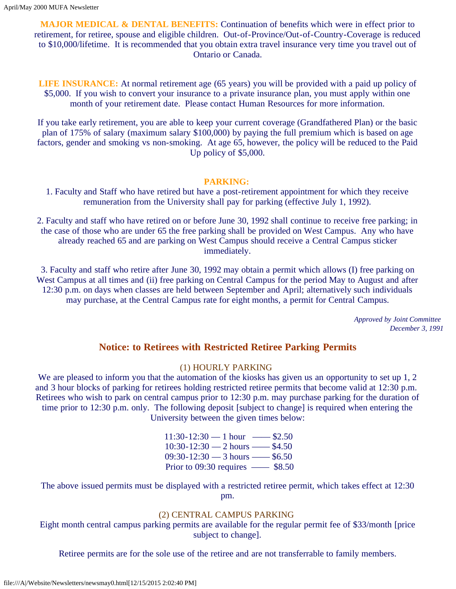**MAJOR MEDICAL & DENTAL BENEFITS:** Continuation of benefits which were in effect prior to retirement, for retiree, spouse and eligible children. Out-of-Province/Out-of-Country-Coverage is reduced to \$10,000/lifetime. It is recommended that you obtain extra travel insurance very time you travel out of Ontario or Canada.

**LIFE INSURANCE:** At normal retirement age (65 years) you will be provided with a paid up policy of \$5,000. If you wish to convert your insurance to a private insurance plan, you must apply within one month of your retirement date. Please contact Human Resources for more information.

If you take early retirement, you are able to keep your current coverage (Grandfathered Plan) or the basic plan of 175% of salary (maximum salary \$100,000) by paying the full premium which is based on age factors, gender and smoking vs non-smoking. At age 65, however, the policy will be reduced to the Paid Up policy of \$5,000.

### **PARKING:**

1. Faculty and Staff who have retired but have a post-retirement appointment for which they receive remuneration from the University shall pay for parking (effective July 1, 1992).

2. Faculty and staff who have retired on or before June 30, 1992 shall continue to receive free parking; in the case of those who are under 65 the free parking shall be provided on West Campus. Any who have already reached 65 and are parking on West Campus should receive a Central Campus sticker immediately.

3. Faculty and staff who retire after June 30, 1992 may obtain a permit which allows (I) free parking on West Campus at all times and (ii) free parking on Central Campus for the period May to August and after 12:30 p.m. on days when classes are held between September and April; alternatively such individuals may purchase, at the Central Campus rate for eight months, a permit for Central Campus.

> *Approved by Joint Committee December 3, 1991*

### **Notice: to Retirees with Restricted Retiree Parking Permits**

### (1) HOURLY PARKING

We are pleased to inform you that the automation of the kiosks has given us an opportunity to set up 1, 2 and 3 hour blocks of parking for retirees holding restricted retiree permits that become valid at 12:30 p.m. Retirees who wish to park on central campus prior to 12:30 p.m. may purchase parking for the duration of time prior to 12:30 p.m. only. The following deposit [subject to change] is required when entering the University between the given times below:

> $11:30-12:30 - 1$  hour  $\longrightarrow$  \$2.50  $10:30-12:30$  — 2 hours —— \$4.50 09:30-12:30 — 3 hours —— \$6.50 Prior to 09:30 requires —— \$8.50

The above issued permits must be displayed with a restricted retiree permit, which takes effect at 12:30 pm.

### (2) CENTRAL CAMPUS PARKING

Eight month central campus parking permits are available for the regular permit fee of \$33/month [price subject to change].

Retiree permits are for the sole use of the retiree and are not transferrable to family members.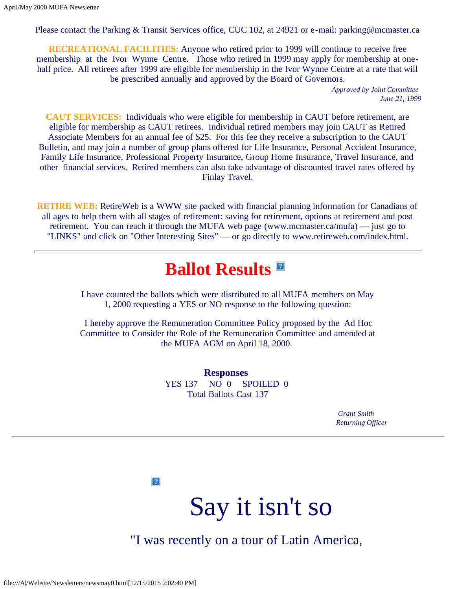Please contact the Parking & Transit Services office, CUC 102, at 24921 or e-mail: parking@mcmaster.ca

**RECREATIONAL FACILITIES:** Anyone who retired prior to 1999 will continue to receive free membership at the Ivor Wynne Centre. Those who retired in 1999 may apply for membership at onehalf price. All retirees after 1999 are eligible for membership in the Ivor Wynne Centre at a rate that will be prescribed annually and approved by the Board of Governors.

> *Approved by Joint Committee June 21, 1999*

**CAUT SERVICES:** Individuals who were eligible for membership in CAUT before retirement, are eligible for membership as CAUT retirees. Individual retired members may join CAUT as Retired Associate Members for an annual fee of \$25. For this fee they receive a subscription to the CAUT Bulletin, and may join a number of group plans offered for Life Insurance, Personal Accident Insurance, Family Life Insurance, Professional Property Insurance, Group Home Insurance, Travel Insurance, and other financial services. Retired members can also take advantage of discounted travel rates offered by Finlay Travel.

<span id="page-9-0"></span>**RETIRE WEB:** RetireWeb is a WWW site packed with financial planning information for Canadians of all ages to help them with all stages of retirement: saving for retirement, options at retirement and post retirement. You can reach it through the MUFA web page (www.mcmaster.ca/mufa) — just go to "LINKS" and click on "Other Interesting Sites" — or go directly to www.retireweb.com/index.html.

## **Ballot Results**

I have counted the ballots which were distributed to all MUFA members on May 1, 2000 requesting a YES or NO response to the following question:

I hereby approve the Remuneration Committee Policy proposed by the Ad Hoc Committee to Consider the Role of the Remuneration Committee and amended at the MUFA AGM on April 18, 2000.

> **Responses** YES 137 NO 0 SPOILED 0 Total Ballots Cast 137

 *Grant Smith Returning Officer*

 $|2\rangle$ 

Say it isn't so

"I was recently on a tour of Latin America,